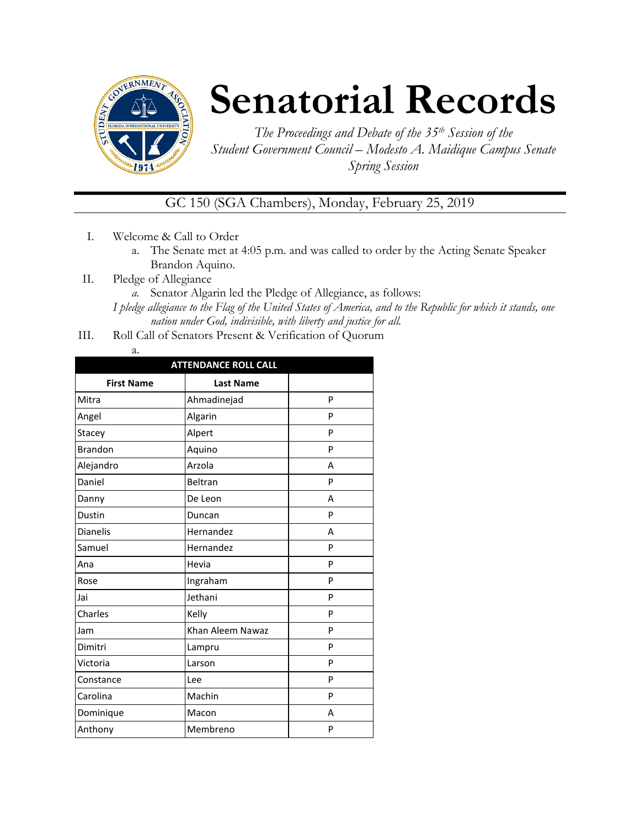

# **Senatorial Records**

*The Proceedings and Debate of the 35th Session of the Student Government Council – Modesto A. Maidique Campus Senate Spring Session*

## GC 150 (SGA Chambers), Monday, February 25, 2019

- I. Welcome & Call to Order
	- a. The Senate met at 4:05 p.m. and was called to order by the Acting Senate Speaker Brandon Aquino.
- II. Pledge of Allegiance
	- *a.* Senator Algarin led the Pledge of Allegiance, as follows:
	- *I pledge allegiance to the Flag of the United States of America, and to the Republic for which it stands, one nation under God, indivisible, with liberty and justice for all.*
- III. Roll Call of Senators Present & Verification of Quorum

| а. |  |
|----|--|

| <b>ATTENDANCE ROLL CALL</b> |                  |   |  |  |
|-----------------------------|------------------|---|--|--|
| <b>First Name</b>           | <b>Last Name</b> |   |  |  |
| Mitra                       | Ahmadinejad      | P |  |  |
| Angel                       | Algarin          | P |  |  |
| Stacey                      | Alpert           | P |  |  |
| <b>Brandon</b>              | Aquino           | P |  |  |
| Alejandro                   | Arzola           | A |  |  |
| Daniel                      | Beltran          | P |  |  |
| Danny                       | De Leon          | A |  |  |
| Dustin                      | Duncan           | P |  |  |
| <b>Dianelis</b>             | Hernandez        | A |  |  |
| Samuel                      | Hernandez        | P |  |  |
| Ana                         | Hevia            | P |  |  |
| Rose                        | Ingraham         | P |  |  |
| Jai                         | Jethani          | P |  |  |
| Charles                     | Kelly            | P |  |  |
| Jam                         | Khan Aleem Nawaz | P |  |  |
| Dimitri                     | Lampru           | P |  |  |
| Victoria                    | Larson           | P |  |  |
| Constance                   | Lee              | P |  |  |
| Carolina                    | Machin           | P |  |  |
| Dominique                   | Macon            | A |  |  |
| Anthony                     | Membreno         | P |  |  |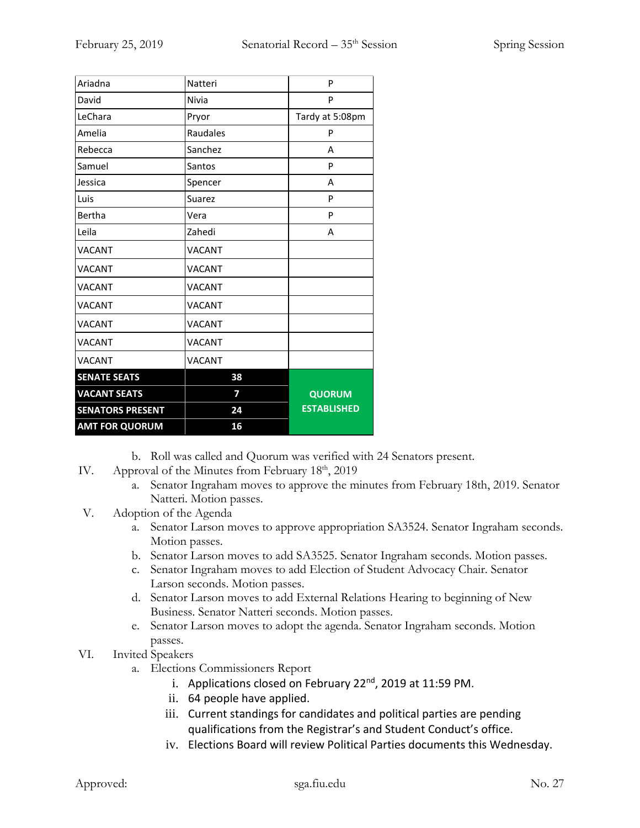| Ariadna                 | Natteri       | P                  |
|-------------------------|---------------|--------------------|
| David                   | Nivia         | P                  |
| LeChara                 | Pryor         | Tardy at 5:08pm    |
| Amelia                  | Raudales      | P                  |
| Rebecca                 | Sanchez       | A                  |
| Samuel                  | Santos        | P                  |
| Jessica                 | Spencer       | A                  |
| Luis                    | Suarez        | P                  |
| Bertha                  | Vera          | P                  |
| Leila                   | Zahedi        | Α                  |
| <b>VACANT</b>           | VACANT        |                    |
| <b>VACANT</b>           | VACANT        |                    |
| <b>VACANT</b>           | <b>VACANT</b> |                    |
| <b>VACANT</b>           | <b>VACANT</b> |                    |
| <b>VACANT</b>           | VACANT        |                    |
| <b>VACANT</b>           | VACANT        |                    |
| <b>VACANT</b>           | <b>VACANT</b> |                    |
| <b>SENATE SEATS</b>     | 38            |                    |
| <b>VACANT SEATS</b>     | 7             | <b>QUORUM</b>      |
| <b>SENATORS PRESENT</b> | 24            | <b>ESTABLISHED</b> |
| <b>AMT FOR QUORUM</b>   | 16            |                    |

- b. Roll was called and Quorum was verified with 24 Senators present.
- IV. Approval of the Minutes from February  $18<sup>th</sup>$ , 2019
	- a. Senator Ingraham moves to approve the minutes from February 18th, 2019. Senator Natteri. Motion passes.
- V. Adoption of the Agenda
	- a. Senator Larson moves to approve appropriation SA3524. Senator Ingraham seconds. Motion passes.
	- b. Senator Larson moves to add SA3525. Senator Ingraham seconds. Motion passes.
	- c. Senator Ingraham moves to add Election of Student Advocacy Chair. Senator Larson seconds. Motion passes.
	- d. Senator Larson moves to add External Relations Hearing to beginning of New Business. Senator Natteri seconds. Motion passes.
	- e. Senator Larson moves to adopt the agenda. Senator Ingraham seconds. Motion passes.
- VI. Invited Speakers
	- a. Elections Commissioners Report
		- i. Applications closed on February 22<sup>nd</sup>, 2019 at 11:59 PM.
		- ii. 64 people have applied.
		- iii. Current standings for candidates and political parties are pending qualifications from the Registrar's and Student Conduct's office.
		- iv. Elections Board will review Political Parties documents this Wednesday.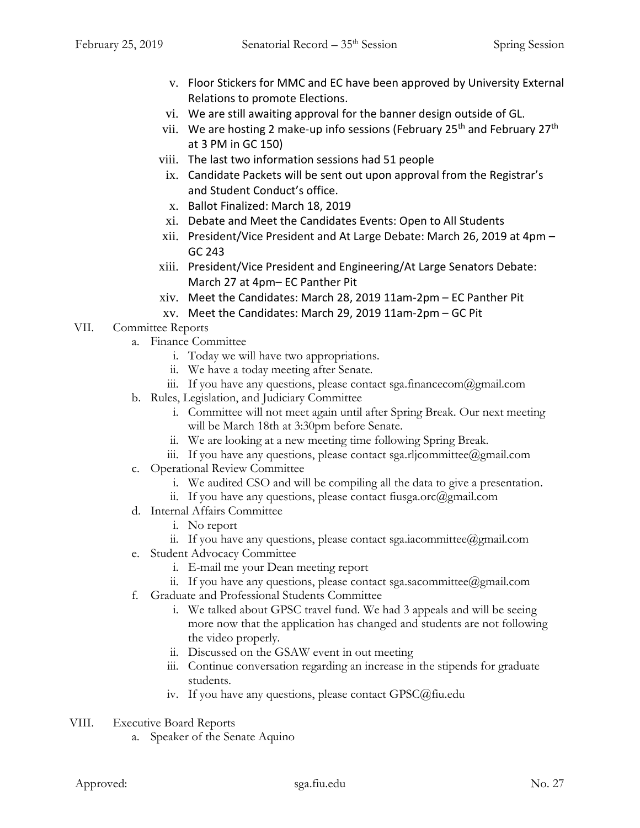- v. Floor Stickers for MMC and EC have been approved by University External Relations to promote Elections.
- vi. We are still awaiting approval for the banner design outside of GL.
- vii. We are hosting 2 make-up info sessions (February 25<sup>th</sup> and February 27<sup>th</sup> at 3 PM in GC 150)
- viii. The last two information sessions had 51 people
- ix. Candidate Packets will be sent out upon approval from the Registrar's and Student Conduct's office.
- x. Ballot Finalized: March 18, 2019
- xi. Debate and Meet the Candidates Events: Open to All Students
- xii. President/Vice President and At Large Debate: March 26, 2019 at 4pm GC 243
- xiii. President/Vice President and Engineering/At Large Senators Debate: March 27 at 4pm– EC Panther Pit
- xiv. Meet the Candidates: March 28, 2019 11am-2pm EC Panther Pit
- xv. Meet the Candidates: March 29, 2019 11am-2pm GC Pit
- VII. Committee Reports
	- a. Finance Committee
		- i. Today we will have two appropriations.
		- ii. We have a today meeting after Senate.
		- iii. If you have any questions, please contact sga.financecom $\omega$ gmail.com
	- b. Rules, Legislation, and Judiciary Committee
		- i. Committee will not meet again until after Spring Break. Our next meeting will be March 18th at 3:30pm before Senate.
		- ii. We are looking at a new meeting time following Spring Break.
		- iii. If you have any questions, please contact sga.rljcommittee@gmail.com
	- c. Operational Review Committee
		- i. We audited CSO and will be compiling all the data to give a presentation.
		- ii. If you have any questions, please contact fiusga.orc $(\partial \text{gmail.com})$
	- d. Internal Affairs Committee
		- i. No report
		- ii. If you have any questions, please contact sga.iacommittee@gmail.com
	- e. Student Advocacy Committee
		- i. E-mail me your Dean meeting report
		- ii. If you have any questions, please contact sga.sacommittee@gmail.com
	- f. Graduate and Professional Students Committee
		- i. We talked about GPSC travel fund. We had 3 appeals and will be seeing more now that the application has changed and students are not following the video properly.
		- ii. Discussed on the GSAW event in out meeting
		- iii. Continue conversation regarding an increase in the stipends for graduate students.
		- iv. If you have any questions, please contact GPSC@fiu.edu
- VIII. Executive Board Reports
	- a. Speaker of the Senate Aquino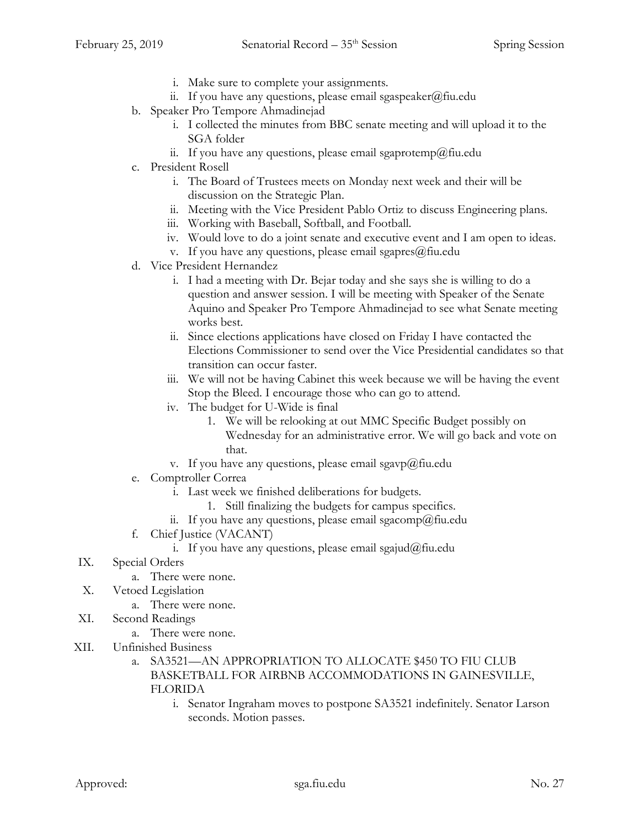- i. Make sure to complete your assignments.
- ii. If you have any questions, please email sgaspeaker@fiu.edu
- b. Speaker Pro Tempore Ahmadinejad
	- i. I collected the minutes from BBC senate meeting and will upload it to the SGA folder
	- ii. If you have any questions, please email sgaprotemp@fiu.edu
- c. President Rosell
	- i. The Board of Trustees meets on Monday next week and their will be discussion on the Strategic Plan.
	- ii. Meeting with the Vice President Pablo Ortiz to discuss Engineering plans.
	- iii. Working with Baseball, Softball, and Football.
	- iv. Would love to do a joint senate and executive event and I am open to ideas.
	- v. If you have any questions, please email sgapres@fiu.edu
- d. Vice President Hernandez
	- i. I had a meeting with Dr. Bejar today and she says she is willing to do a question and answer session. I will be meeting with Speaker of the Senate Aquino and Speaker Pro Tempore Ahmadinejad to see what Senate meeting works best.
	- ii. Since elections applications have closed on Friday I have contacted the Elections Commissioner to send over the Vice Presidential candidates so that transition can occur faster.
	- iii. We will not be having Cabinet this week because we will be having the event Stop the Bleed. I encourage those who can go to attend.
	- iv. The budget for U-Wide is final
		- 1. We will be relooking at out MMC Specific Budget possibly on Wednesday for an administrative error. We will go back and vote on that.
	- v. If you have any questions, please email sgavp@fiu.edu
- e. Comptroller Correa
	- i. Last week we finished deliberations for budgets.
		- 1. Still finalizing the budgets for campus specifics.
	- ii. If you have any questions, please email sgacomp@fiu.edu
- f. Chief Justice (VACANT)
	- i. If you have any questions, please email sgajud@fiu.edu
- IX. Special Orders
	- a. There were none.
- X. Vetoed Legislation
	- a. There were none.
- XI. Second Readings
	- a. There were none.
- XII. Unfinished Business
	- a. SA3521—AN APPROPRIATION TO ALLOCATE \$450 TO FIU CLUB BASKETBALL FOR AIRBNB ACCOMMODATIONS IN GAINESVILLE, FLORIDA
		- i. Senator Ingraham moves to postpone SA3521 indefinitely. Senator Larson seconds. Motion passes.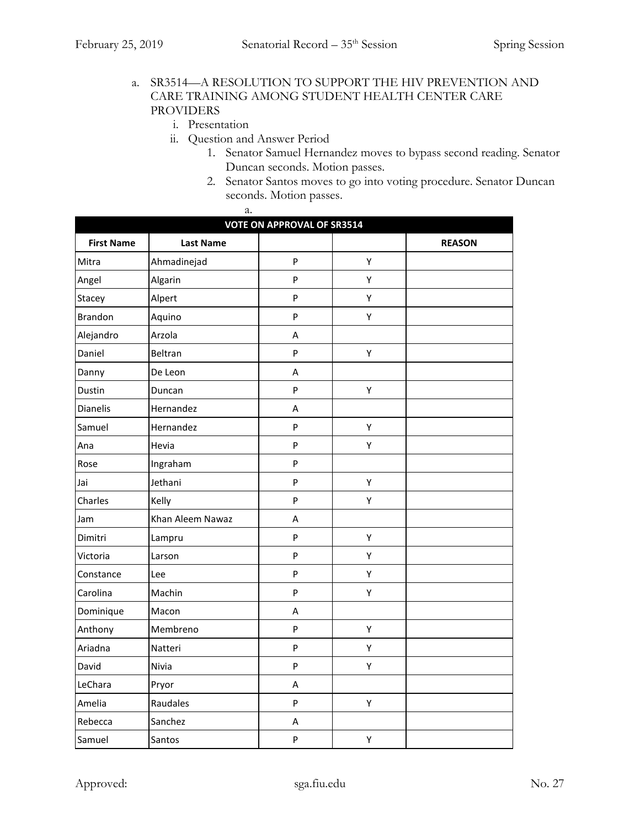#### a. SR3514—A RESOLUTION TO SUPPORT THE HIV PREVENTION AND CARE TRAINING AMONG STUDENT HEALTH CENTER CARE PROVIDERS

- i. Presentation
- ii. Question and Answer Period
	- 1. Senator Samuel Hernandez moves to bypass second reading. Senator Duncan seconds. Motion passes.
	- 2. Senator Santos moves to go into voting procedure. Senator Duncan seconds. Motion passes.

| a.<br><b>VOTE ON APPROVAL OF SR3514</b> |                  |                         |   |  |
|-----------------------------------------|------------------|-------------------------|---|--|
|                                         |                  |                         |   |  |
| Mitra                                   | Ahmadinejad      | P                       | Υ |  |
| Angel                                   | Algarin          | P                       | Υ |  |
| Stacey                                  | Alpert           | P                       | Υ |  |
| Brandon                                 | Aquino           | $\mathsf{P}$            | Υ |  |
| Alejandro                               | Arzola           | A                       |   |  |
| Daniel                                  | Beltran          | $\mathsf{P}$            | Υ |  |
| Danny                                   | De Leon          | $\overline{\mathsf{A}}$ |   |  |
| Dustin                                  | Duncan           | $\mathsf{P}$            | Υ |  |
| Dianelis                                | Hernandez        | Α                       |   |  |
| Samuel                                  | Hernandez        | $\mathsf{P}$            | Υ |  |
| Ana                                     | Hevia            | P                       | Υ |  |
| Rose                                    | Ingraham         | P                       |   |  |
| Jai                                     | Jethani          | $\mathsf{P}$            | Υ |  |
| Charles                                 | Kelly            | P                       | Υ |  |
| Jam                                     | Khan Aleem Nawaz | Α                       |   |  |
| Dimitri                                 | Lampru           | P                       | Υ |  |
| Victoria                                | Larson           | $\mathsf{P}$            | Υ |  |
| Constance                               | Lee              | P                       | Υ |  |
| Carolina                                | Machin           | P                       | Υ |  |
| Dominique                               | Macon            | $\overline{\mathsf{A}}$ |   |  |
| Anthony                                 | Membreno         | P                       | Υ |  |
| Ariadna                                 | Natteri          | P                       | Υ |  |
| David                                   | Nivia            | $\mathsf{P}$            | Υ |  |
| LeChara                                 | Pryor            | Α                       |   |  |
| Amelia                                  | Raudales         | P                       | Υ |  |
| Rebecca                                 | Sanchez          | Α                       |   |  |
| Samuel                                  | Santos           | P                       | Υ |  |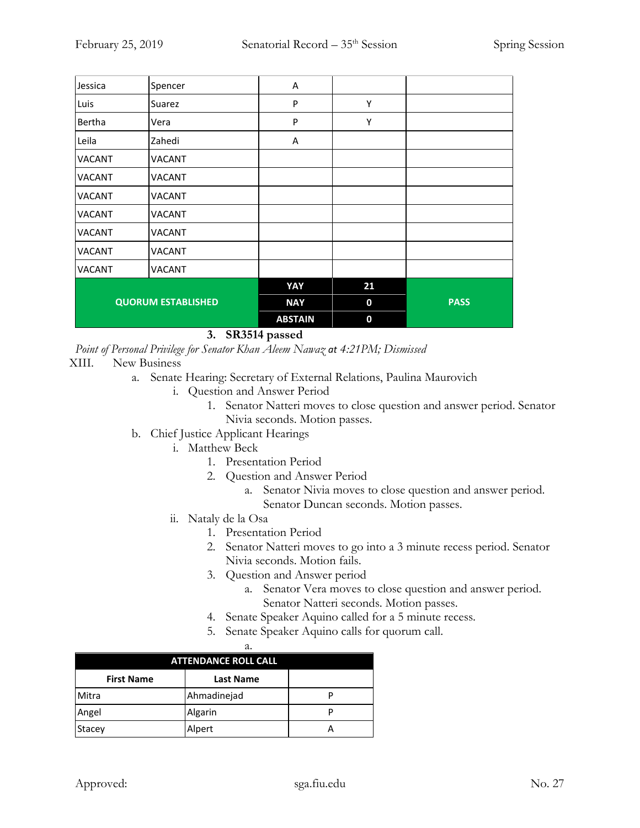| Jessica       | Spencer                   | Α              |    |             |
|---------------|---------------------------|----------------|----|-------------|
| Luis          | Suarez                    | P              | Υ  |             |
| Bertha        | Vera                      | P              | Υ  |             |
| Leila         | Zahedi                    | A              |    |             |
| <b>VACANT</b> | <b>VACANT</b>             |                |    |             |
| <b>VACANT</b> | <b>VACANT</b>             |                |    |             |
| <b>VACANT</b> | <b>VACANT</b>             |                |    |             |
| VACANT        | <b>VACANT</b>             |                |    |             |
| <b>VACANT</b> | <b>VACANT</b>             |                |    |             |
| <b>VACANT</b> | <b>VACANT</b>             |                |    |             |
| <b>VACANT</b> | <b>VACANT</b>             |                |    |             |
|               |                           | YAY            | 21 |             |
|               | <b>QUORUM ESTABLISHED</b> | <b>NAY</b>     | 0  | <b>PASS</b> |
|               |                           | <b>ABSTAIN</b> | 0  |             |

**3. SR3514 passed**

*Point of Personal Privilege for Senator Khan Aleem Nawaz at 4:21PM; Dismissed*

- XIII. New Business
	- a. Senate Hearing: Secretary of External Relations, Paulina Maurovich
		- i. Question and Answer Period
			- 1. Senator Natteri moves to close question and answer period. Senator Nivia seconds. Motion passes.
	- b. Chief Justice Applicant Hearings
		- i. Matthew Beck
			- 1. Presentation Period
			- 2. Question and Answer Period
				- a. Senator Nivia moves to close question and answer period. Senator Duncan seconds. Motion passes.
		- ii. Nataly de la Osa
			- 1. Presentation Period
			- 2. Senator Natteri moves to go into a 3 minute recess period. Senator Nivia seconds. Motion fails.
			- 3. Question and Answer period
				- a. Senator Vera moves to close question and answer period. Senator Natteri seconds. Motion passes.
			- 4. Senate Speaker Aquino called for a 5 minute recess.
			- 5. Senate Speaker Aquino calls for quorum call.

|                             | а.               |  |
|-----------------------------|------------------|--|
| <b>ATTENDANCE ROLL CALL</b> |                  |  |
| <b>First Name</b>           | <b>Last Name</b> |  |
| Mitra                       | Ahmadinejad      |  |
| Angel                       | Algarin          |  |
| Stacey                      | Alpert           |  |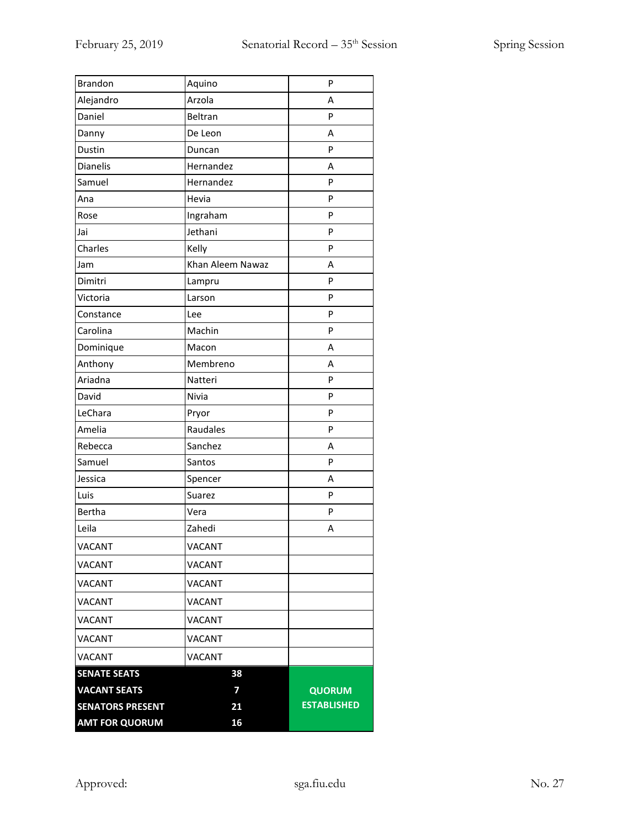| <b>AMT FOR QUORUM</b>   | 16               |                    |
|-------------------------|------------------|--------------------|
| <b>SENATORS PRESENT</b> | 21               | <b>ESTABLISHED</b> |
| <b>VACANT SEATS</b>     | 7                | <b>QUORUM</b>      |
| <b>SENATE SEATS</b>     | 38               |                    |
| <b>VACANT</b>           | <b>VACANT</b>    |                    |
| <b>VACANT</b>           | <b>VACANT</b>    |                    |
| <b>VACANT</b>           | VACANT           |                    |
| <b>VACANT</b>           | <b>VACANT</b>    |                    |
| VACANT                  | VACANT           |                    |
| <b>VACANT</b>           | <b>VACANT</b>    |                    |
| VACANT                  | <b>VACANT</b>    |                    |
| Leila                   | Zahedi           | Α                  |
| <b>Bertha</b>           | Vera             | P                  |
| Luis                    | Suarez           | P                  |
| Jessica                 | Spencer          | Α                  |
| Samuel                  | Santos           | P                  |
| Rebecca                 | Sanchez          | A                  |
| Amelia                  | Raudales         | P                  |
| LeChara                 | Pryor            | P                  |
| David                   | Nivia            | P                  |
| Ariadna                 | Natteri          | P                  |
| Anthony                 | Membreno         | A                  |
| Dominique               | Macon            | Α                  |
| Carolina                | Machin           | P                  |
| Constance               | Lee              | P                  |
| Victoria                | Larson           | P                  |
| Dimitri                 | Lampru           | P                  |
| Jam                     | Khan Aleem Nawaz | A                  |
| Charles                 | Kelly            | P                  |
| Jai                     | Jethani          | P                  |
| Rose                    | Ingraham         | P                  |
| Ana                     | Hevia            | P                  |
| Samuel                  | Hernandez        | P                  |
| <b>Dianelis</b>         | Hernandez        | Α                  |
| Dustin                  | Duncan           | P                  |
| Danny                   | De Leon          | Α                  |
| Daniel                  | Beltran          | P                  |
| Alejandro               | Arzola           | A                  |
| <b>Brandon</b>          | Aquino           | P                  |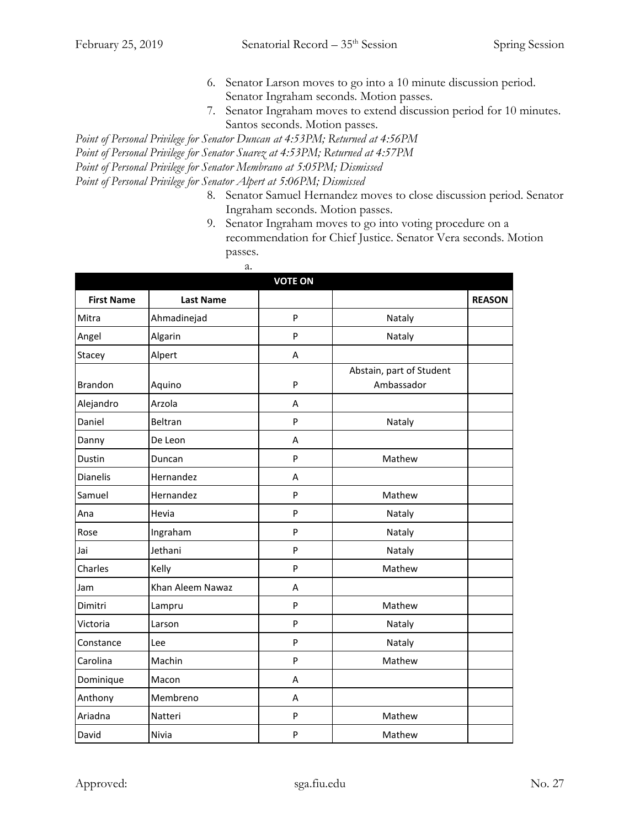- 6. Senator Larson moves to go into a 10 minute discussion period. Senator Ingraham seconds. Motion passes.
- 7. Senator Ingraham moves to extend discussion period for 10 minutes. Santos seconds. Motion passes.

*Point of Personal Privilege for Senator Duncan at 4:53PM; Returned at 4:56PM Point of Personal Privilege for Senator Suarez at 4:53PM; Returned at 4:57PM Point of Personal Privilege for Senator Membrano at 5:05PM; Dismissed Point of Personal Privilege for Senator Alpert at 5:06PM; Dismissed* 

- 8. Senator Samuel Hernandez moves to close discussion period. Senator Ingraham seconds. Motion passes.
- 9. Senator Ingraham moves to go into voting procedure on a recommendation for Chief Justice. Senator Vera seconds. Motion passes.

| a.                |                  |                |                          |               |  |
|-------------------|------------------|----------------|--------------------------|---------------|--|
|                   |                  | <b>VOTE ON</b> |                          |               |  |
| <b>First Name</b> | <b>Last Name</b> |                |                          | <b>REASON</b> |  |
| Mitra             | Ahmadinejad      | P              | Nataly                   |               |  |
| Angel             | Algarin          | P              | Nataly                   |               |  |
| Stacey            | Alpert           | A              |                          |               |  |
|                   |                  |                | Abstain, part of Student |               |  |
| <b>Brandon</b>    | Aquino           | P              | Ambassador               |               |  |
| Alejandro         | Arzola           | A              |                          |               |  |
| Daniel            | Beltran          | P              | Nataly                   |               |  |
| Danny             | De Leon          | A              |                          |               |  |
| Dustin            | Duncan           | P              | Mathew                   |               |  |
| <b>Dianelis</b>   | Hernandez        | A              |                          |               |  |
| Samuel            | Hernandez        | P              | Mathew                   |               |  |
| Ana               | Hevia            | P              | Nataly                   |               |  |
| Rose              | Ingraham         | P              | Nataly                   |               |  |
| Jai               | Jethani          | P              | Nataly                   |               |  |
| Charles           | Kelly            | P              | Mathew                   |               |  |
| Jam               | Khan Aleem Nawaz | A              |                          |               |  |
| Dimitri           | Lampru           | P              | Mathew                   |               |  |
| Victoria          | Larson           | P              | Nataly                   |               |  |
| Constance         | Lee              | P              | Nataly                   |               |  |
| Carolina          | Machin           | P              | Mathew                   |               |  |
| Dominique         | Macon            | A              |                          |               |  |
| Anthony           | Membreno         | A              |                          |               |  |
| Ariadna           | Natteri          | P              | Mathew                   |               |  |
| David             | Nivia            | P              | Mathew                   |               |  |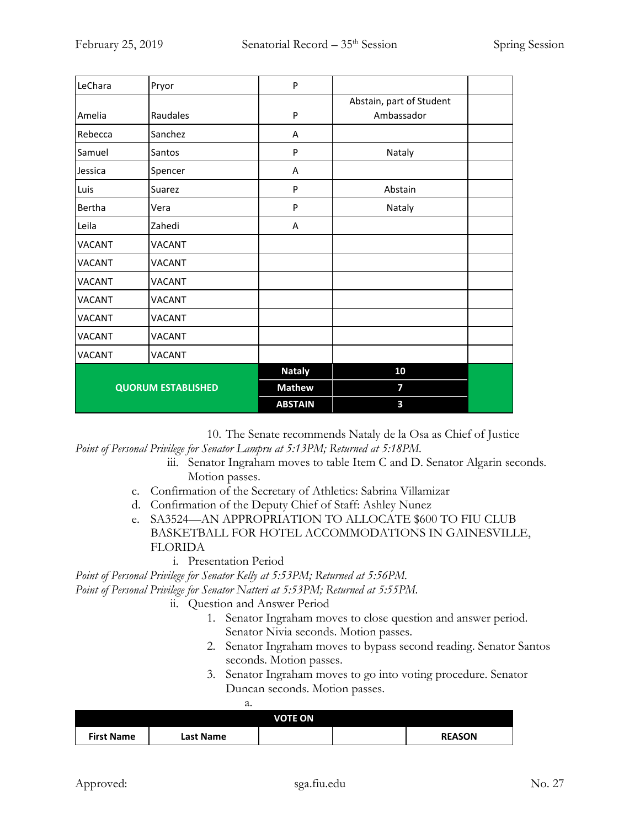| LeChara       | Pryor                     | P              |                          |  |
|---------------|---------------------------|----------------|--------------------------|--|
|               |                           |                | Abstain, part of Student |  |
| Amelia        | Raudales                  | P              | Ambassador               |  |
| Rebecca       | Sanchez                   | A              |                          |  |
| Samuel        | Santos                    | P              | Nataly                   |  |
| Jessica       | Spencer                   | Α              |                          |  |
| Luis          | Suarez                    | P              | Abstain                  |  |
| Bertha        | Vera                      | P              | Nataly                   |  |
| Leila         | Zahedi                    | Α              |                          |  |
| <b>VACANT</b> | VACANT                    |                |                          |  |
| <b>VACANT</b> | <b>VACANT</b>             |                |                          |  |
| <b>VACANT</b> | <b>VACANT</b>             |                |                          |  |
| <b>VACANT</b> | <b>VACANT</b>             |                |                          |  |
| VACANT        | VACANT                    |                |                          |  |
| VACANT        | <b>VACANT</b>             |                |                          |  |
| VACANT        | VACANT                    |                |                          |  |
|               |                           | <b>Nataly</b>  | 10                       |  |
|               | <b>QUORUM ESTABLISHED</b> | <b>Mathew</b>  | 7                        |  |
|               |                           | <b>ABSTAIN</b> | 3                        |  |

10. The Senate recommends Nataly de la Osa as Chief of Justice *Point of Personal Privilege for Senator Lampru at 5:13PM; Returned at 5:18PM.*

- iii. Senator Ingraham moves to table Item C and D. Senator Algarin seconds. Motion passes.
- c. Confirmation of the Secretary of Athletics: Sabrina Villamizar
- d. Confirmation of the Deputy Chief of Staff: Ashley Nunez
- e. SA3524—AN APPROPRIATION TO ALLOCATE \$600 TO FIU CLUB BASKETBALL FOR HOTEL ACCOMMODATIONS IN GAINESVILLE, FLORIDA
	- i. Presentation Period

*Point of Personal Privilege for Senator Kelly at 5:53PM; Returned at 5:56PM.*

*Point of Personal Privilege for Senator Natteri at 5:53PM; Returned at 5:55PM.*

- ii. Question and Answer Period
	- 1. Senator Ingraham moves to close question and answer period. Senator Nivia seconds. Motion passes.
	- 2. Senator Ingraham moves to bypass second reading. Senator Santos seconds. Motion passes.
	- 3. Senator Ingraham moves to go into voting procedure. Senator Duncan seconds. Motion passes.

| <b>VOTE ON</b>    |           |  |  |               |
|-------------------|-----------|--|--|---------------|
| <b>First Name</b> | Last Name |  |  | <b>REASON</b> |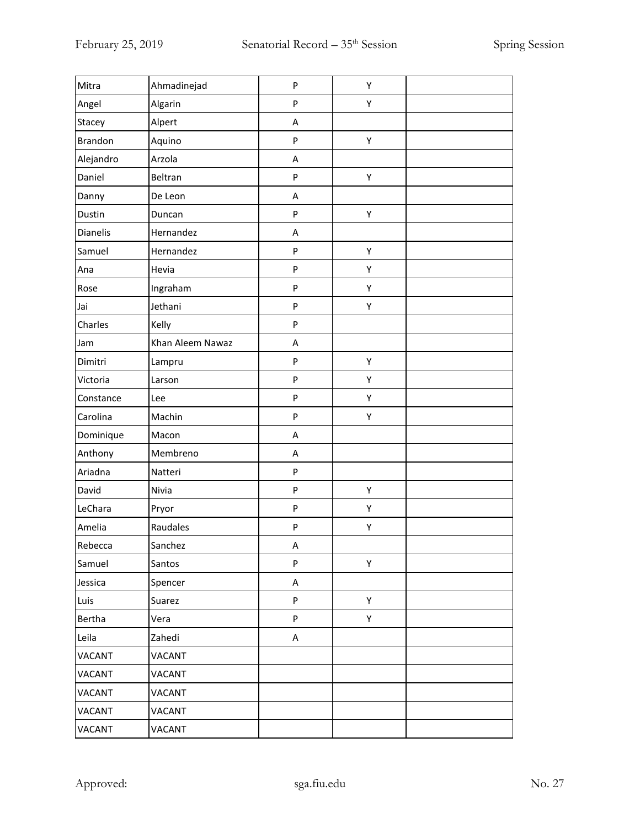| Mitra         | Ahmadinejad      | ${\sf P}$ | Υ |  |
|---------------|------------------|-----------|---|--|
| Angel         | Algarin          | P         | Υ |  |
| Stacey        | Alpert           | A         |   |  |
| Brandon       | Aquino           | P         | Υ |  |
| Alejandro     | Arzola           | Α         |   |  |
| Daniel        | Beltran          | P         | Υ |  |
| Danny         | De Leon          | A         |   |  |
| Dustin        | Duncan           | P         | Υ |  |
| Dianelis      | Hernandez        | Α         |   |  |
| Samuel        | Hernandez        | P         | Υ |  |
| Ana           | Hevia            | P         | Υ |  |
| Rose          | Ingraham         | P         | Υ |  |
| Jai           | Jethani          | ${\sf P}$ | Υ |  |
| Charles       | Kelly            | P         |   |  |
| Jam           | Khan Aleem Nawaz | A         |   |  |
| Dimitri       | Lampru           | P         | Υ |  |
| Victoria      | Larson           | P         | Υ |  |
| Constance     | Lee              | P         | Υ |  |
| Carolina      | Machin           | P         | Υ |  |
| Dominique     | Macon            | Α         |   |  |
| Anthony       | Membreno         | Α         |   |  |
| Ariadna       | Natteri          | ${\sf P}$ |   |  |
| David         | Nivia            | P         | Υ |  |
| LeChara       | Pryor            | P         | Υ |  |
| Amelia        | Raudales         | P         | Υ |  |
| Rebecca       | Sanchez          | A         |   |  |
| Samuel        | Santos           | P         | Υ |  |
| Jessica       | Spencer          | A         |   |  |
| Luis          | Suarez           | P         | Υ |  |
| Bertha        | Vera             | P         | Υ |  |
| Leila         | Zahedi           | A         |   |  |
| <b>VACANT</b> | VACANT           |           |   |  |
| VACANT        | <b>VACANT</b>    |           |   |  |
| VACANT        | VACANT           |           |   |  |
| VACANT        | VACANT           |           |   |  |
| VACANT        | VACANT           |           |   |  |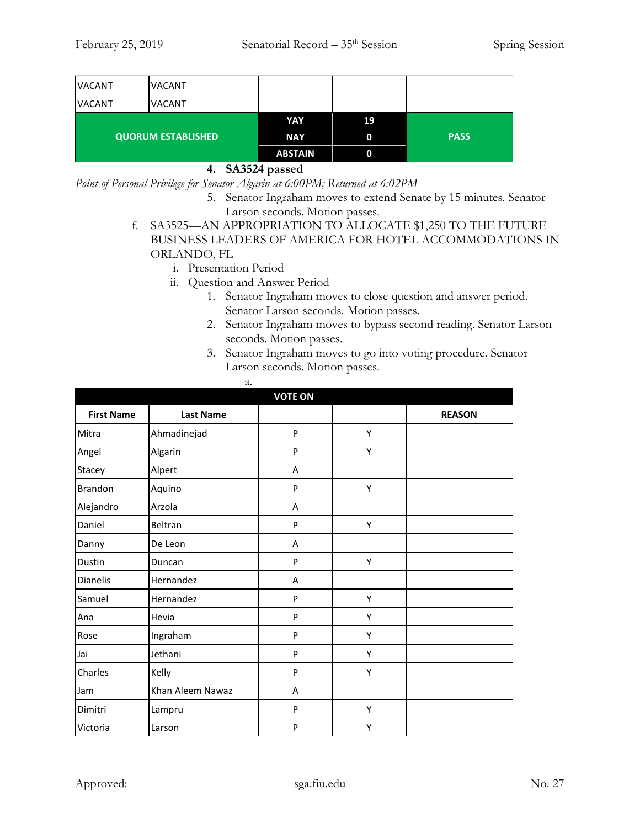| <b>VACANT</b>             | VACANT |                |    |             |
|---------------------------|--------|----------------|----|-------------|
| <b>VACANT</b>             | VACANT |                |    |             |
| <b>QUORUM ESTABLISHED</b> |        | YAY            | 19 |             |
|                           |        | <b>NAY</b>     | 0  | <b>PASS</b> |
|                           |        | <b>ABSTAIN</b> | 0  |             |

#### **4. SA3524 passed**

*Point of Personal Privilege for Senator Algarin at 6:00PM; Returned at 6:02PM*

- 5. Senator Ingraham moves to extend Senate by 15 minutes. Senator Larson seconds. Motion passes.
- f. SA3525—AN APPROPRIATION TO ALLOCATE \$1,250 TO THE FUTURE BUSINESS LEADERS OF AMERICA FOR HOTEL ACCOMMODATIONS IN ORLANDO, FL
	- i. Presentation Period
	- ii. Question and Answer Period

a.

- 1. Senator Ingraham moves to close question and answer period. Senator Larson seconds. Motion passes.
- 2. Senator Ingraham moves to bypass second reading. Senator Larson seconds. Motion passes.
- 3. Senator Ingraham moves to go into voting procedure. Senator Larson seconds. Motion passes.

| <b>VOTE ON</b>    |                  |   |   |               |  |
|-------------------|------------------|---|---|---------------|--|
| <b>First Name</b> | <b>Last Name</b> |   |   | <b>REASON</b> |  |
| Mitra             | Ahmadinejad      | P | Υ |               |  |
| Angel             | Algarin          | P | Υ |               |  |
| Stacey            | Alpert           | Α |   |               |  |
| <b>Brandon</b>    | Aquino           | P | Υ |               |  |
| Alejandro         | Arzola           | Α |   |               |  |
| Daniel            | Beltran          | P | Υ |               |  |
| Danny             | De Leon          | A |   |               |  |
| Dustin            | Duncan           | P | Υ |               |  |
| Dianelis          | Hernandez        | Α |   |               |  |
| Samuel            | Hernandez        | P | Υ |               |  |
| Ana               | Hevia            | P | Υ |               |  |
| Rose              | Ingraham         | P | Υ |               |  |
| Jai               | Jethani          | P | Υ |               |  |
| Charles           | Kelly            | P | Υ |               |  |
| Jam               | Khan Aleem Nawaz | Α |   |               |  |
| Dimitri           | Lampru           | P | Υ |               |  |
| Victoria          | Larson           | P | Υ |               |  |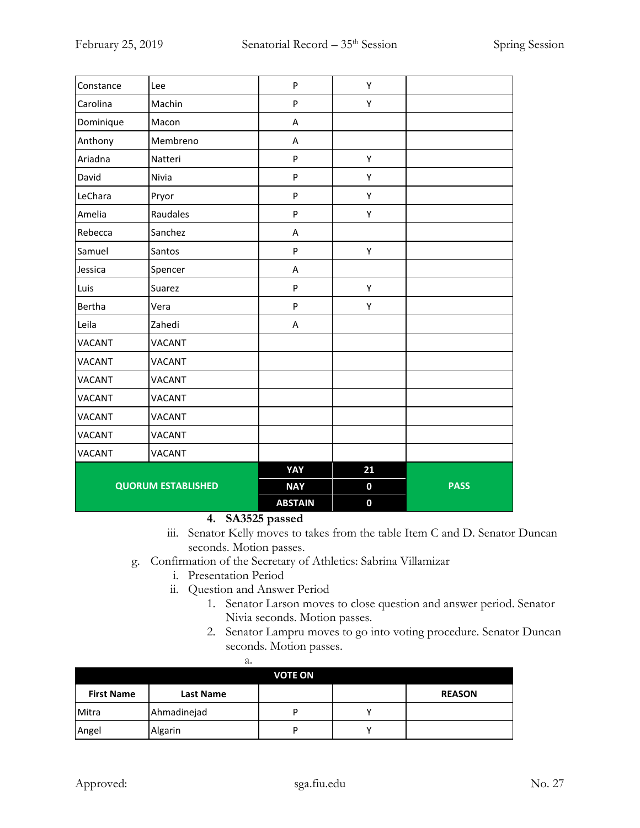| Constance                 | Lee           | ${\sf P}$      | Υ                |             |
|---------------------------|---------------|----------------|------------------|-------------|
| Carolina                  | Machin        | P              | Υ                |             |
| Dominique                 | Macon         | A              |                  |             |
| Anthony                   | Membreno      | A              |                  |             |
| Ariadna                   | Natteri       | P              | Υ                |             |
| David                     | Nivia         | P              | Υ                |             |
| LeChara                   | Pryor         | P              | Υ                |             |
| Amelia                    | Raudales      | P              | Υ                |             |
| Rebecca                   | Sanchez       | A              |                  |             |
| Samuel                    | Santos        | P              | Υ                |             |
| Jessica                   | Spencer       | Α              |                  |             |
| Luis                      | Suarez        | P              | Υ                |             |
| Bertha                    | Vera          | ${\sf P}$      | Υ                |             |
| Leila                     | Zahedi        | A              |                  |             |
| <b>VACANT</b>             | <b>VACANT</b> |                |                  |             |
| <b>VACANT</b>             | <b>VACANT</b> |                |                  |             |
| <b>VACANT</b>             | <b>VACANT</b> |                |                  |             |
| <b>VACANT</b>             | <b>VACANT</b> |                |                  |             |
| <b>VACANT</b>             | <b>VACANT</b> |                |                  |             |
| <b>VACANT</b>             | <b>VACANT</b> |                |                  |             |
| <b>VACANT</b>             | VACANT        |                |                  |             |
|                           |               | YAY            | 21               |             |
| <b>QUORUM ESTABLISHED</b> |               | <b>NAY</b>     | $\boldsymbol{0}$ | <b>PASS</b> |
|                           |               | <b>ABSTAIN</b> | $\mathbf 0$      |             |

**4. SA3525 passed**

- iii. Senator Kelly moves to takes from the table Item C and D. Senator Duncan seconds. Motion passes.
- g. Confirmation of the Secretary of Athletics: Sabrina Villamizar
	- i. Presentation Period
	- ii. Question and Answer Period
		- 1. Senator Larson moves to close question and answer period. Senator Nivia seconds. Motion passes.
		- 2. Senator Lampru moves to go into voting procedure. Senator Duncan seconds. Motion passes.

|                   | а.               |   |  |               |  |
|-------------------|------------------|---|--|---------------|--|
| <b>VOTE ON</b>    |                  |   |  |               |  |
| <b>First Name</b> | <b>Last Name</b> |   |  | <b>REASON</b> |  |
| Mitra             | Ahmadinejad      | D |  |               |  |
| Angel             | Algarin          | D |  |               |  |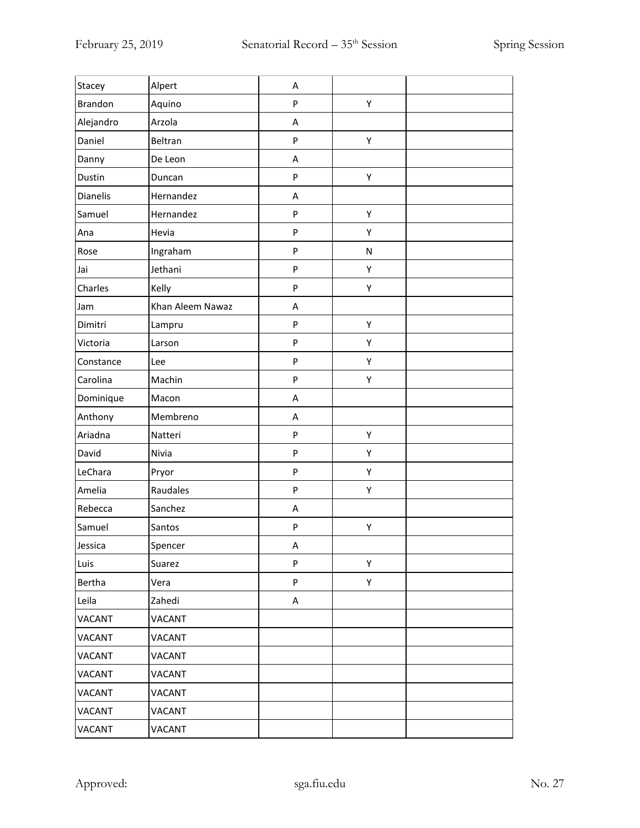| Stacey         | Alpert           | A         |           |  |
|----------------|------------------|-----------|-----------|--|
| <b>Brandon</b> | Aquino           | P         | Υ         |  |
| Alejandro      | Arzola           | A         |           |  |
| Daniel         | Beltran          | P         | Υ         |  |
| Danny          | De Leon          | Α         |           |  |
| Dustin         | Duncan           | P         | Υ         |  |
| Dianelis       | Hernandez        | A         |           |  |
| Samuel         | Hernandez        | P         | Υ         |  |
| Ana            | Hevia            | P         | Υ         |  |
| Rose           | Ingraham         | P         | ${\sf N}$ |  |
| Jai            | Jethani          | P         | Υ         |  |
| Charles        | Kelly            | P         | Υ         |  |
| Jam            | Khan Aleem Nawaz | Α         |           |  |
| Dimitri        | Lampru           | P         | Υ         |  |
| Victoria       | Larson           | P         | Υ         |  |
| Constance      | Lee              | P         | Υ         |  |
| Carolina       | Machin           | P         | Υ         |  |
| Dominique      | Macon            | A         |           |  |
| Anthony        | Membreno         | Α         |           |  |
| Ariadna        | Natteri          | P         | Υ         |  |
| David          | Nivia            | ${\sf P}$ | Υ         |  |
| LeChara        | Pryor            | P         | Υ         |  |
| Amelia         | Raudales         | P         | Υ         |  |
| Rebecca        | Sanchez          | A         |           |  |
| Samuel         | Santos           | P         | Υ         |  |
| Jessica        | Spencer          | A         |           |  |
| Luis           | Suarez           | P         | Υ         |  |
| Bertha         | Vera             | ${\sf P}$ | Υ         |  |
| Leila          | Zahedi           | A         |           |  |
| <b>VACANT</b>  | VACANT           |           |           |  |
| <b>VACANT</b>  | VACANT           |           |           |  |
| <b>VACANT</b>  | VACANT           |           |           |  |
| VACANT         | VACANT           |           |           |  |
| <b>VACANT</b>  | VACANT           |           |           |  |
| VACANT         | VACANT           |           |           |  |
| VACANT         | VACANT           |           |           |  |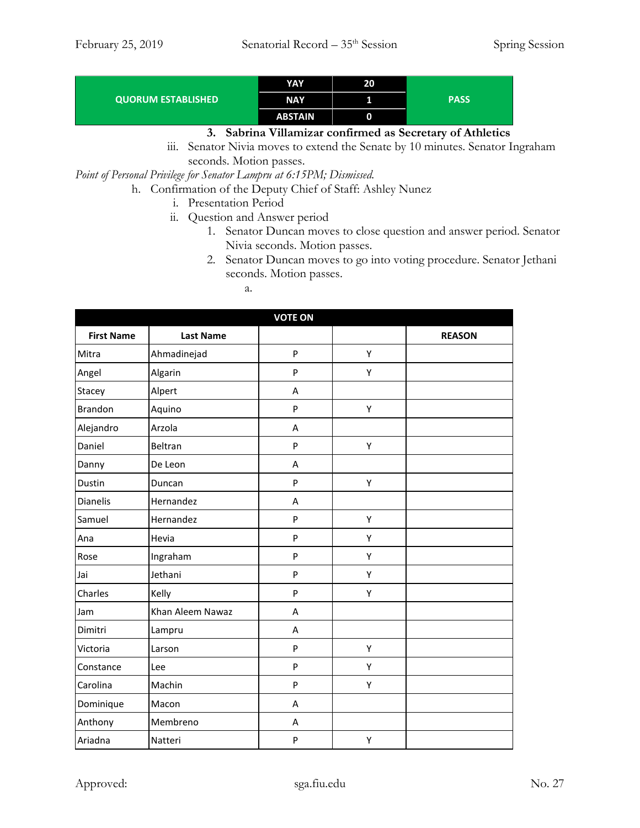|                           | YAY            | 20 |             |
|---------------------------|----------------|----|-------------|
| <b>QUORUM ESTABLISHED</b> | <b>NAY</b>     |    | <b>PASS</b> |
|                           | <b>ABSTAIN</b> |    |             |

### **3. Sabrina Villamizar confirmed as Secretary of Athletics**

iii. Senator Nivia moves to extend the Senate by 10 minutes. Senator Ingraham seconds. Motion passes.

*Point of Personal Privilege for Senator Lampru at 6:15PM; Dismissed.*

- h. Confirmation of the Deputy Chief of Staff: Ashley Nunez
	- i. Presentation Period
	- ii. Question and Answer period
		- 1. Senator Duncan moves to close question and answer period. Senator Nivia seconds. Motion passes.
		- 2. Senator Duncan moves to go into voting procedure. Senator Jethani seconds. Motion passes.
			- a.

| <b>VOTE ON</b>    |                  |   |   |               |  |
|-------------------|------------------|---|---|---------------|--|
| <b>First Name</b> | <b>Last Name</b> |   |   | <b>REASON</b> |  |
| Mitra             | Ahmadinejad      | P | Υ |               |  |
| Angel             | Algarin          | P | Υ |               |  |
| Stacey            | Alpert           | A |   |               |  |
| <b>Brandon</b>    | Aquino           | P | Υ |               |  |
| Alejandro         | Arzola           | A |   |               |  |
| Daniel            | Beltran          | P | Υ |               |  |
| Danny             | De Leon          | A |   |               |  |
| Dustin            | Duncan           | P | Υ |               |  |
| Dianelis          | Hernandez        | A |   |               |  |
| Samuel            | Hernandez        | P | Υ |               |  |
| Ana               | Hevia            | P | Y |               |  |
| Rose              | Ingraham         | P | Υ |               |  |
| Jai               | Jethani          | P | Υ |               |  |
| Charles           | Kelly            | P | Υ |               |  |
| Jam               | Khan Aleem Nawaz | A |   |               |  |
| Dimitri           | Lampru           | A |   |               |  |
| Victoria          | Larson           | P | Υ |               |  |
| Constance         | Lee              | P | Υ |               |  |
| Carolina          | Machin           | P | Υ |               |  |
| Dominique         | Macon            | A |   |               |  |
| Anthony           | Membreno         | A |   |               |  |
| Ariadna           | Natteri          | P | Υ |               |  |

Approved: sga.fiu.edu Sga.fiu.edu No. 27